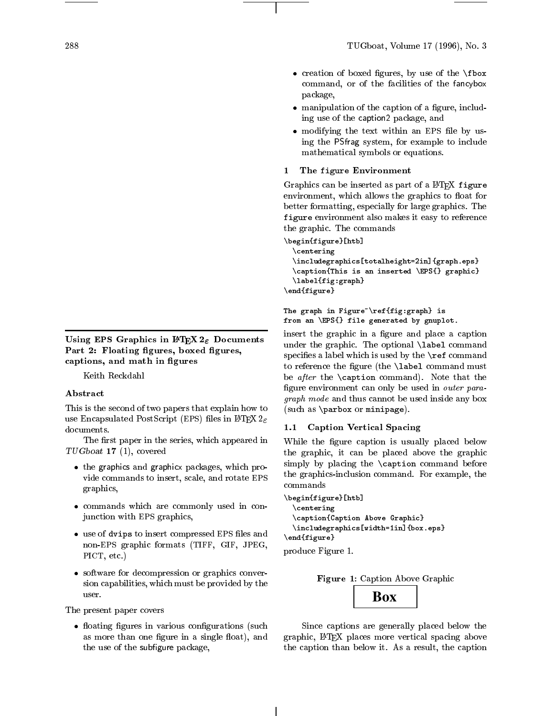Using EPS Graphics in  $\mathbb{P}\text{Tr} X 2_{\varepsilon}$  Documents Part 2: Floating figures, boxed figures, captions, and math in figures

Keith Reckdahl

This is the second of two papers that explain how to use Encapsulated PostScript (EPS) files in  $\mathbb{F}$ FRX  $2\varepsilon$ documents.

The first paper in the series, which appeared in TUGboat 17 (1), covered

- the graphics and graphicx packages, which provide commands to insert, scale, and rotate EPS graphics,
- commands which are commonly used in conjunction with EPS graphics,
- use of will provide the compressed EPS of the computer non-EPS graphic formats (TIFF, GIF, JPEG, PICT, etc.)
- software for decompression or graphics conversion capabilities, which must be provided by the user.

The present paper covers

 oating gures in various congurations (such as more than one figure in a single float), and the use of the subfigure package,

- creation to boxed by use of the the the  $\mathbf{r}$ command, or of the facilities of the fancybox package,
- manipulation of the caption of a magnetic model ing use of the caption2 package, and
- modifying the text with  $\mathcal{L}$  and  $\mathcal{L}$  and  $\mathcal{L}$ ing the PSfrag system, for example to include mathematical symbols or equations.
- 1 The figure Environment

Graphics can be inserted as part of a IATEX figure environment, which allows the graphics to float for better formatting, especially for large graphics. The figure environment also makes it easy to reference the graphic. The commands

```
\begin{figure}[htb]
 \centering
 \includegraphics[totalheight=2in]{graph.eps}
 \caption{This is an inserted \EPS{} graphic}
 \label{fig:graph}
\end{figure}
```

```
The graph in Figure"\ref{fig:graph} is
from an \EPS{} file generated by gnuplot.
```
insert the graphic in a figure and place a caption under the graphic. The optional \label command specifies a label which is used by the  $\ref$  command to reference the figure (the  $\lambda$ label command must be after the \caption command). Note that the figure environment can only be used in outer para $g \cdot$  which models cannot be used in the use of the cannot be used in the used in  $g$  , we have (such as \parbox or minipage).

## 1.1 Caption Vertical Spacing

While the figure caption is usually placed below the graphic, it can be placed above the graphic simply by placing the \caption command before the graphics-inclusion command. For example, the commands

```
\begin{figure}[htb]
 \centering
 \caption{Caption Above Graphic}
 \includegraphics[width=1in]{box.eps}
\end{figure}
```
produce Figure 1.



Since captions are generally placed below the graphic, LATEX places more vertical spacing above the caption than below it. As a result, the caption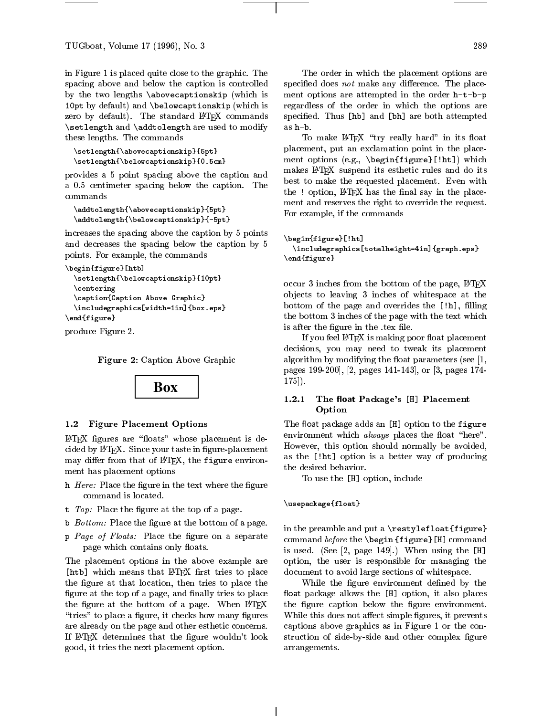in Figure 1 is placed quite close to the graphic. The spacing above and below the caption is controlled by the two lengths \abovecaptionskip (which is  $100$ pt by default) and  $\bar{p}$  and  $\bar{p}$  and  $\bar{p}$  (which is isomorphic is independent in  $\bar{p}$ zero by default). The standard LATFX commands  $\sim$  . The set  $\sim$  and  $\sim$  modify are used to modify the use  $\sim$ these lengths. The commands

```
\setlength{\abovecaptionskip}{5pt}
\setlength{\belowcaptionskip}{0.5cm}
```
provides a 5 point spacing above the caption and a 0.5 centimeter spacing below the caption. The commands

```
\addtolength{\abovecaptionskip}{5pt}
\addtolength{\belowcaptionskip}{-5pt}
```
increases the spacing above the caption by 5 points and decreases the spacing below the caption by 5 points. For example, the commands

```
\begin{figure}[htb]
 \setlength{\belowcaptionskip}{10pt}
 \centering
 \caption{Caption Above Graphic}
 \includegraphics[width=1in]{box.eps}
\end{figure}
```
produce Figure 2.

Figure 2: Caption Above Graphic



## 1.2 Figure Placement Options

 $IATFX$  figures are "floats" whose placement is decided by IATEX. Since your taste in figure-placement may differ from that of  $\mathbb{P}\Gamma$ FX, the figure environment has placement options

- he head to be a covered the samples of the text where the term of the text where  $\alpha$ command is located.
- t Top: Place the gure at the top of a page.
- b Bottom: Place the gure at the bottom of a page.
- p Page of Place the Place the Place on the separate of the separate of  $\sim$ page which contains only floats.

The placement options in the above example are [htb] which means that L<sup>AT</sup>EX first tries to place the figure at that location, then tries to place the figure at the top of a page, and finally tries to place the figure at the bottom of a page. When LATEX "tries" to place a figure, it checks how many figures are already on the page and other esthetic concerns. If IAT<sub>F</sub>X determines that the figure wouldn't look good, it tries the next placement option.

The order in which the placement options are specified does not make any difference. The placement options are attempted in the order h-t-b-p regardless of the order in which the options are specied. Thus [hb] and [bh] are both attempted as h-b.

To make LAT<sub>F</sub>X "try really hard" in its float placement, put an exclamation point in the placement options (e.g., \begin{figure}[!ht]) which makes LAT<sub>EX</sub> suspend its esthetic rules and do its best to make the requested placement. Even with the ! option,  $\text{LFTF}X$  has the final say in the placement and reserves the right to override the request. For example, if the commands

```
\begin{figure}[!ht]
 \includegraphics[totalheight=4in]{graph.eps}
\end{figure}
```
occur 3 inches from the bottom of the page, LATEX ob jects to leaving 3 inches of whitespace at the bottom of the page and overrides the  $[\,]$ h], filling the bottom 3 inches of the page with the text which is after the figure in the .tex file.

If you feel IATEX is making poor float placement decisions, you may need to tweak its placement algorithm by modifying the float parameters (see  $[1,$ pages 199-200], [2, pages 141-143], or [3, pages 174- 175]).

#### 1.2.1The float Package's [H] Placement Option

The float package adds an [H] option to the figure environment which *always* places the float "here". However, this option should normally be avoided, as the [!ht] option is a better way of producing the desired behavior.

To use the [H] option, include

## \usepackage{float}

in the preamble and put a  $\text{testyleft}$ command before the \begin {figure}[H] command is used. (See [2, page 149].) When using the [H] option, the user is responsible for managing the document to avoid large sections of whitespace.

While the figure environment defined by the float package allows the  $[H]$  option, it also places the figure caption below the figure environment. While this does not affect simple figures, it prevents captions above graphics as in Figure 1 or the construction of side-by-side and other complex figure arrangements.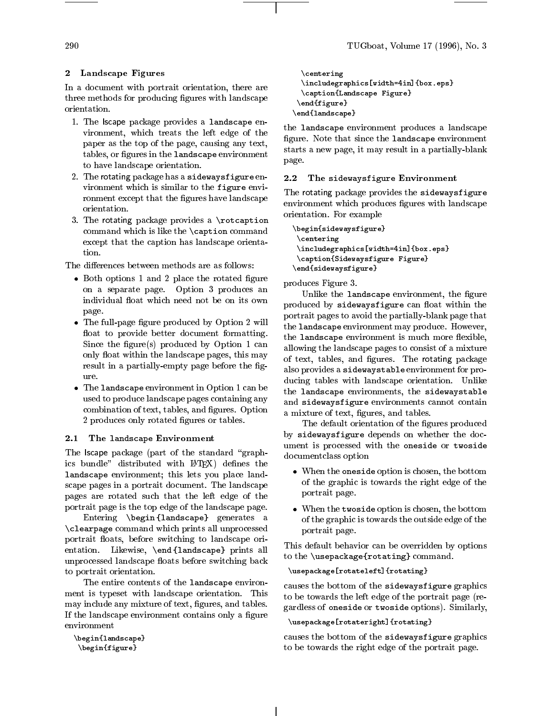## 2 Landscape Figures

In <sup>a</sup> document with portrait orientation, there are three methods for producing against which computes  $\mathbf{r}_i$ orientation.

- 1. The lscape package provides <sup>a</sup> landscape environment, which treats the left edge of the l paper as the top of the page, causing any text, tables, or gures in the landscape environment to have landscape orientation.
- 2. The rotating package has <sup>a</sup> sidewaysfigure environment which is similar to the figure environment except that the gures have landscape orientation.
- 3. The rotating package provides a \rotcaption commanders which is like the value to me the communication except that the caption has landscape orienta-

- Both options <sup>1</sup> and <sup>2</sup> place the rotated gure on <sup>a</sup> separate page. Option <sup>3</sup> produces an page.
- The full-page gure produced by Option <sup>2</sup> will oat to provide better document formatting. Since the gure(s) produced by Option <sup>1</sup> can only not we within the awnively pages, this may  $\sim$ result in <sup>a</sup> partially-empty page before the gure.
- The landscape environment in Option <sup>1</sup> can be used to produce landscape pages containing any combination of text, tables, and gures. Option 2 produces only rotated gures or tables.

## 2.1 The landscape Environment

 $T$  . The latter part of the state  $T$  the state state state  $T$  are stated as  $T$  ${\rm ics}\;$  bundle" distributed with  ${\rm L2T}$  defines the landscape environment; this lets you place landscape pages in <sup>a</sup> portrait document. The landscape pages are rotated such that the left edge of the portrait page is the top edge of the landscape page.

 $\bf{r}$  and  $\bf{r}$  are  $\bf{r}$  and  $\bf{r}$  and  $\bf{r}$  and  $\bf{r}$  are at  $\bf{r}$  and  $\bf{r}$  $\sqrt{2}$  and  $\sqrt{2}$  communications which prints all unprocessed  $\sqrt{2}$ portrait oats, before switching to landscape orientation. Likewise, \end {landscape} prints all unprocessed landscape oats before switching back to portrait orientation.

The entire contents of the landscape environment is typeset with landscape orientation. This may include was made we the text, in the column version of aa varv awarupvuppo earrarvaansarva oosavumad oaarra ayuuno

```
\lambda\ddot{\phantom{F}}
```

```
\centering
       \Box\ldots . The captive \ldots \ldots \ldots \ldots \ldots \ldots \ldots \ldots \ldots \ldots \ldots \ldots \ldots \ldots \ldots \ldots \ldots \ldots \ldots \ldots \ldots \ldots \ldots \ldots \ldots \ldots \ldots \ldots \ldots \ldots \ldots \ldots \ldots \ld\sim \sim \sim \sim \sim \sim \sim \sim\end{landscape}
```
the landscape environment produces a landscape gure. Note that since the landscape environment starts <sup>a</sup> new page, it may result in <sup>a</sup> partially-blank page.

#### 2.2The sidewaysfigure Environment

The rotating package provides the sidewaysfigure en landscape wanter produced in a collection with a second copies orientation. For example

```
\begin{sidewaysfigure}\ddotsc\includegraphics[width=4in]{box.eps}\cdots . Sideways figure figure \cdots . Figure \cdots ,
\end{sidewaysfigure}
```
produces Figure 3.

Unlike the landscape environment, the gure produced by sidewaysfigure can be with the can compute the case of the canonical canonical canonical canonical portrait pages to avoid the partially-blank page that the landscape environment may produce. However, we are seen to the landscape of the second many set of the second many set of the second many set of the second many set of the second many set of the second many set of the the monetary cape the theoretical is much more more interested allowing the landscape pages to consist of a mixture. of text, tables, and gures. The rotating package also provides <sup>a</sup> sidewaystable environment for producing tables with landscape orientation. Unlike the landscape environments, the sidewaystable and sidewaysfigure environments cannot contain a mixture of the text, in gaster that the text of

The default of the default of the High-to-produced by sideways and dopening on whether the document is processed with the oneside or twoside documentation option

- When the oneside option is chosen, the bottom of the graphic is towards the right edge of the portrait page.
- when the two two second options is chosen the bottom. of the graphic is to ward the outside outside of the o portrait page.

This default behavior can be overridden by options to the \usepackage{rotating} command.

## \usepackage[rotateleft]{rotating}

causes the bottom of the sideways figure graphics to be towards the left edge of the portrait page (regardless of oneside or twoside options). Similarly,

## \usepackage[rotateright]{rotating}

causes the bottom of the sidewaysfigure graphics to be towards the right edge of the portrait page.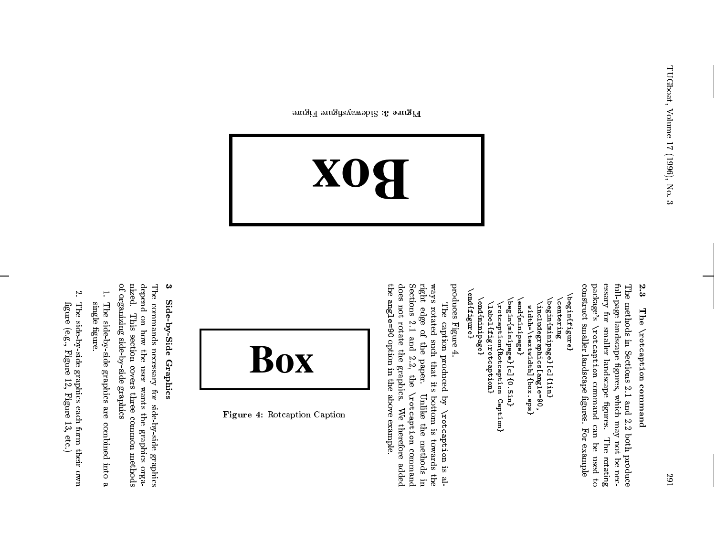# <u>ي.</u><br>م The **\rotcaption** command \rotcaption command

The methods in Sections م.<br>1 and ىخ<br>2. both produce full-page landscape gures, which may not a. necessary for smaller landscape gures. The rotating package's \rotcaption command can a. used ಕ construct smaller landscape gures. For example

 $\{\texttt{end}$  $\sqrt{$ end $\{$ figure $\}$ \beginffigure}  $\verb|\begin{figure}{1} \end{figure}$ \end{minipage} \end{minipage} (endfminipage)<br>\begin{minipage}[c]{0.5in}<br>\rotcaption{Rotcaption Caption}  $\lambda$ begin{minipage}[c]{0.5in} \end{minipage} \begin{minpage}[c]{1in}  $\verb|\beqin{min}min$  $\langle$ centering **centering**  $\sqrt{1}$ abel $\{$ fig:rotcaption}  $\{$ label $\{$ fig:rotcaption $\}$ \rotcaption{Rotcaption \includegraphics[angle=90,<br>width=\textwidth]{box.eps}  $\lambda$ includegraphics[angle=90, width=\textwidth]{box.eps}

produces Figure

4.

The caption produced  $\mathbf{s}$ \rotcaption is always rotated such  $\thinspace \tan$ its bottom is towards the right edge ቧ the paper. Unlike the methods in Sections بر<br>1 p.<br>E 2.2, the \rotcaption command does not rotate the graphics. We therefore added the angle=90 option in the above example.

**Box**

Figure 3: Sidewaysure Figure



Figure 4 : Rotcaption Caption

# دع Side-by-Side Side-by-Side Graphics

The commands necessary for side-by-side graphics depend on how the user wants the graphics organized. This section covers three common methods ם, organizing side-by-side graphics

- 1. The side-by-side graphics a<br>J combined into a single gure.
- The side-by-side graphics each form their own gure (e.g., Figure 12, Figure 13, etc.)

2.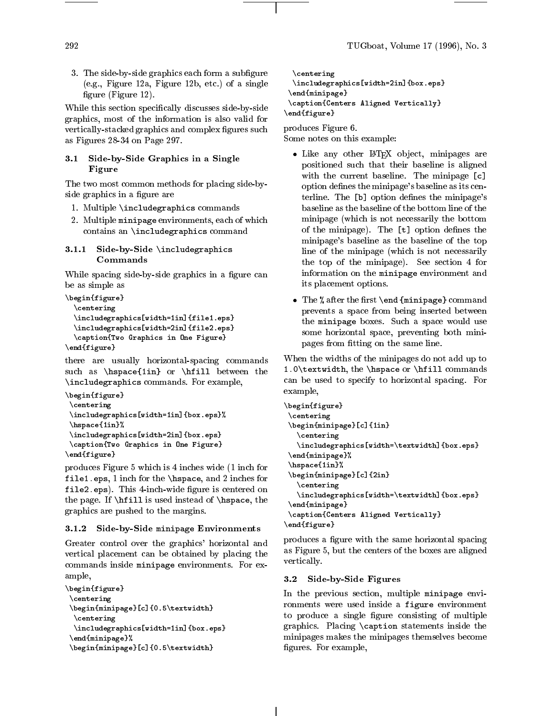3. The side-by-side graphics each form <sup>a</sup> subgure (e.g., Figure 12a, Figure 12b, etc.) of <sup>a</sup> single gure (Figure 12).

 $\mathcal{L}_{\mathcal{A}}$  this section specifically discusses side-by-side-by-side-by-sidegraphics, most of the information is also value for  $\sim$  $\sim$  stacked graphics and complex such and complex  $\sim$  such and complex such and complex such and complex such and complex such and complex such and complex such and complex such an analysis of  $\sim$ as Figures 28-34 on Page 297.

#### 3.1 Side-by-Side Graphics in <sup>a</sup> Single Figure

 $T$  is two most common methods for placents  $\sim$   $\sim$ side graphics in <sup>a</sup> gure are

- 1. Multiple \includegraphics commands
- 2. Multiple minipage environments, each of which contains an  $\sim$  commanded community community community.

#### 3.1.1 Side-by-Side \includegraphics Commands

while space-by-side-by-side-by-side-by-side-by-side-by-side-by-side-by-side-by-side-by-side-by-side-by-side-bybe as simple as

```
\begin{figure}
  \centering
  \includegraphics[width=1in]{file1.eps}
 \includegraphics[width=2in]{file2.eps}
  \caption{Two Graphics in One Figure}
\end{figure}
```
there are usually horizontal-spacing commands such as  $\mathcal{1}_{\{1,1\}}$  or  $\mathcal{1}_{\{1,1\}}$  or  $\mathcal{1}_{\{1,1\}}$  $\Box$  -  $\Box$  . For example,  $\Box$  . For example,  $\Box$  . For example,  $\Box$ 

```
\begin{figure}
\centering
\includegraphics[width=1in]{box.eps}%
\hspace{1in}%
\includegraphics[width=2in]{box.eps}
\caption{Two Graphics in One Figure}
\end{figure}
```
produces Figure <sup>5</sup> which is 4 inches wide (1 inch for file1.eps, <sup>1</sup> inch for the \hspace, and <sup>2</sup> inches for file2.eps). This 4-inch-wide gure is centered on  $t$  ,  $t$  is used in the particle instead of  $\lambda$  is used the  $\lambda$ graphics are pushed to the margins.

## 3.1.2 Side-by-Side minipage Environments

Greater control over the graphics' horizontal and vertical placement can be obtained by placement of the commands inside minipage environments. For example,

```
\begin{figure}
\centering
\begin{minipage}[c]{0.5\textwidth}
 \centering
 \includegraphics[width=1in]{box.eps}
\end{minipage}%
\begin{minipage}[c]{0.5\textwidth}
```

```
\centering
 \includegraphics[width=2in]{box.eps}
\end{minipage}
\caption{Centers Aligned Vertically}
\end{figure}
```
produces Figure 6. Some notes on this example:

- Like any other L<sup>AT</sup>EX object, minipages are positioned such that their baseline is aligned  $m = 1$  . The current baseline of  $m = 1$ option defines the minipage's baseline as its centerline. The [b] option defines the minipage's minimage (which is not need the bottom in the bottom of the minipage). The [t] option denes the minipage's baseline as the baseline of the top line of the minipage (which is not necessarily the top of the minipage). See section <sup>4</sup> for information on the minipage environment and its placement options.
- $\mathbf{r}$  and  $\mathbf{r}$  are the common  $\mathbf{r}$  and  $\mathbf{r}$  and  $\mathbf{r}$  and  $\mathbf{r}$  commutes the commutation of  $\mathbf{r}$ prevents <sup>a</sup> space from being inserted between the minipage boxes. Such <sup>a</sup> space would use some horizontal space, preventing both minipages from the same line of the same line of the same line.

When the widths of the minipages do not add up to 1.0\textwidth, the \hspace or \hfill commands can be used to specify to horizontal space spacing. For example,

```
\begin{figure}
\centering
\begin{minipage}[c]{1in}
   \centering
   \includegraphics[width=\textwidth]{box.eps}
\end{minipage}%
\hspace{1in}%
\begin{minipage}[c]{2in}
   \centering
   \includegraphics[width=\textwidth]{box.eps}
\end{minipage}
\caption{Centers Aligned Vertically}
\end{figure}
```
produces <sup>a</sup> gure with the same horizontal spacing as Figure 5, but the centers of the centers of the boxes are aligned  $\sim$  -  $\sim$  -  $\sim$  -  $\sim$   $\sim$   $\sim$ 

#### 3.2Side-by-Side Figures

In the previous section, multiple minipage enviromments were used inside a figure environment to produce <sup>a</sup> single gure consisting of multiple  $\sigma$ -restricts. Placements in the theory inside the theory inside the theory inside the theory in the theory in the theory in the theory in the theory in the theory in the three theory in the three three three three three minipages makes the minipages themselves become gures. For example,

292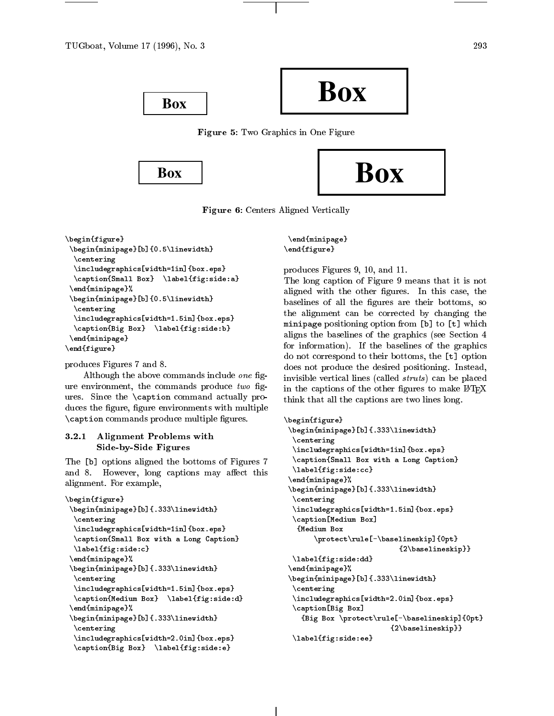

Figure 5: Two Graphics in One Figure



Figure 6: Centers Aligned Vertically

```
\begin{figure}\begin{minipage}[b]{0.5\linewidth}\centering
  \includegraphics[width=1in]{box.eps}\sum_{i=1}^{n} substituting \sum_{i=1}^{n} sinds \sum_{i=1}^{n}\end{minipage}%
 \begin{minipage}[b]{0.5\linewidth}\centering
  \includegraphics[width=1.5in]{box.eps}\mathcal{F} box \mathcal{F} box \mathcal{F} box \mathcal{F} and \mathcal{F} are defined by \mathcal{F}\end{minipage}
\ddot{\phantom{F}}
```
produces Figures 7 and 8.

Although the above commands include one figure environment, the commands produce  $two$  figures. Since the \caption command actually produces the figure, figure environments with multiple \caption commands produce multiple gures.

#### $3.2.1$ Alignment Problems with Side-by-Side Figures

The [b] options aligned the bottoms of Figures 7 and 8. However, long captions may affect this alignment. For example,

```
\begin{figure}\begin{minipage}[b]{.333\linewidth}\centering
   \includegraphics[width=1in]{box.eps}\caption{Small Box with a Long Caption}
   \left(5.000, 1.000\right)\ddot{\hspace{1mm}}\begin{minipage}[b]{.333\linewidth}\centering
   \includegraphics[width=1.5in]{box.eps}\ldots and \ldots and \ldots are defined to a set \ldots . Then \ldots\ddot{\hspace{1mm}}\begin{minipage}[b]{.333\linewidth}\ddotsc\includegraphics[width=2.0in]{box.eps}\left\{ \begin{array}{ccc} 1 & 0 & 0 & 0 & 0 \\ 0 & 0 & 0 & 0 & 0 \\ 0 & 0 & 0 & 0 & 0 \\ 0 & 0 & 0 & 0 & 0 \\ 0 & 0 & 0 & 0 & 0 \\ 0 & 0 & 0 & 0 & 0 \\ 0 & 0 & 0 & 0 & 0 \\ 0 & 0 & 0 & 0 & 0 \\ 0 & 0 & 0 & 0 & 0 \\ 0 & 0 & 0 & 0 & 0 \\ 0 & 0 & 0 & 0 & 0 \\ 0 & 0 & 0 & 0 & 0 \\ 0 & 0 & 0 & 0 & 0 \\ 0 & 0 & 0 & 0 & 0
```
\end{minipage}\end{figure}

produces Figures 9, 10, and 11.

The long caption of Figure 9 means that it is not aligned with the other figures. In this case, the baselines of all the figures are their bottoms, so the alignment can be corrected by changing the minipage positioning option from [b] to [t] which aligns the baselines of the graphics (see Section 4 for information). If the baselines of the graphics do not correspond to their bottoms, the [t] option does not produce the desired positioning. Instead, invisible vertical lines (called *struts*) can be placed in the captions of the other figures to make LATFX think that all the captions are two lines long.

```
\begin{figure}\begin{minipage}[b]{.333\linewidth}\centering
  \includegraphics[width=1in]{box.eps}\caption{Small Box with a Long Caption}
  \label{fig:side:cc}\ddot{\mathcal{M}}\begin{minipage}[b]{.333\linewidth}\ddotsc\Box\ldots . The distance box \alpha and \alpha and \alpha and \alpha\sim \sim \sim \sim \sim \sim \sim\protect\rule[-\baselineskip]{0pt}\epsilon (2000) \epsilon - \epsilon . The set of \epsilon\label{fig:side:dd}\ddot{\mathcal{M}}\begin{minipage}[b]{.333\linewidth}\ddotsc\Box\caption[Big Box]
     \mathbf{B} = \mathbf{B} box \mathbf{B} = \mathbf{B} and \mathbf{B} = \mathbf{B} . The set of \mathbf{B} = \mathbf{B}\epsilon (2.200 \epsilon 2010 \epsilon 2010 \epsilon 2010 \epsilon\label{fig:side:ee}
```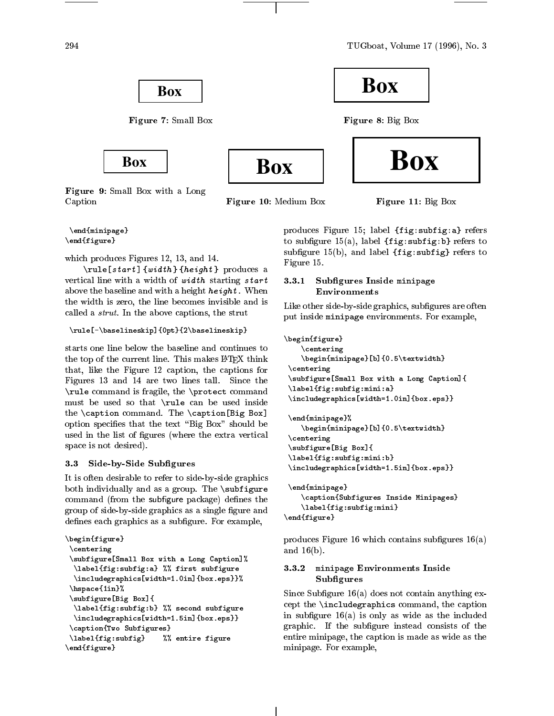TUGboat, Volume <sup>17</sup> (1996), No. <sup>3</sup>



Figure 9: Small Box with <sup>a</sup> Long Caption

Figure 10: Medium Box

Figure 11: Big Box

\end{minipage} $\sim$   $\sim$   $\sim$   $\sim$   $\sim$   $\sim$   $\sim$   $\sim$ 

which produces Figures 12, 13, and 14.

\rule[start ] {width } {height } produces <sup>a</sup> vertical model with a width of width starting starts above the baseline and with a height  $\alpha$  height  $\alpha$  height  $\alpha$  is a height  $\alpha$ the width is zero, the line becomes invisible and is called a structure and captions, the structure captions, the structure

```
\rule[-\baselineskip]{0pt}{2\baselineskip}
```
the top of the current line. This makes LATEX think that, like the Figure <sup>12</sup> caption, the captions for Figures <sup>13</sup> and <sup>14</sup> are two lines tall. Since the  $\sim$  communications is fragment case, the sector communication must be used to that **I was co**n be used inside the  $\zeta$  components communities are  $\zeta$  box  $\zeta$  box  $\zeta$  box  $\zeta$ option species that the text \Big Box" should be used in the list of gures (where the extra vertical space is not desired).

#### 3.3Side-by-Side Subgures

It is often desirable to refer to side of side graphics.  $\sim$  0.000 individually cannot compute a group. The substant  $\sim$ command (from the subgure package) denes the  $\mathbb{R}$  . The side of  $\mathbb{R}$  sides  $\mathbb{R}$  sides as a single signal control and  $\mathbb{R}$ denes each graphics as <sup>a</sup> subgure. For example,

```
\begin{figure}\ddotsc\subfigure[Small Box with a Long Caption]%
    \sum_{i=1}^{n} is a first subset of \sum_{i=1}^{n} first subset of \sum_{i=1}^{n}\lambda = 1.0 in equal to the 1.0 in the 1.0 in the 1.0 in the 1.0 in the 1.0 in the 1.0 in the 1.0 in the 1.0 in the 1.0 in the 1.0 in the 1.0 in the 1.0 in the 1.0 in the 1.0 in the 1.0 in the 1.0 in the 1.0 in the 1.0 in 
  \lambda . The pace of \lambda is a set of \lambda\subfigure[Big Box]{
    \left\{f: s \in \mathbb{R} \right\} , we see that subfigure subfigure subfigure subfigure subfigure
    \Box\cdots . The \cdots subsequently \cdots\label{fig:subfig} %% entire figure
\ddot{\phantom{F}}
```
produces Figure 15; label {fig:subfig:a} refers to subgure 15(a), label {fig:subfig:b} refers to subfigure 15(b), and label  $\mathcal{F}=\mathcal{F}$  refers to an and label Figure 15.

## 3.3.1 Subgures Inside minipage Environments

Like other side-by-side graphics, subgures are often put inside minipage environments. For example,

```
\begin{figure}\centering\begin{minipage}[b]{0.5\textwidth}\centering
  \subfigure[Small Box with a Long Caption]{
  \left\{f:z\right\} , which is a set of \mathbb{F}_{q} is a set of \mathbb{F}_{q} is a set of \mathbb{F}_{q}\include_influence_in_in_in_in_in_in_in_in_in_
  \ddot{\mathcal{M}}\begin{minipage}[b]{0.5\textwidth}\ddotsc\subfigure[Big Box]{
  \left( \begin{array}{ccc} 1 & -1 & -1 \\ -1 & -1 & -1 \end{array} \right)\lambda = 1.5 in contract the 1.5 in the 1.5 in the 1.5 in the 1.5 in the 1.5 in the 1.5 in the 1.5 in the 1.5 in the 1.5 in the 1.5 in the 1.5 in the 1.5 in the 1.5 in the 1.5 in the 1.5 in the 1.5 in the 1.5 in the 1.5 in 
  \end{minipage}\mathcal{S} . Subset in Subfigure II and \mathcal{S} are \mathcal{S} . Subset in Subset in Subset in Subset in Subset in Subset in Subset in Subset in Subset in Subset in Subset in Subset in Subset in Subset in Subset in Subset in
```

```
\left(1-\frac{1}{2}\right) is the substitution of \mathbb{F}_p in the substitution of \mathbb{F}_p\sim \sim \sim \sim \sim \sim \sim \sim
```
produces Figure <sup>16</sup> which contains subgures 16(a) and 16(b).

## 3.3.2.2 mini-page Environments Institute Subfigures

 $S$  . It is a set of  $S$  and  $S$  and contain any  $S$  of  $S$  . The contained and containing the containing except the \included communication communications computed in subsidiary is only we have we will be a the included graphic. If the subgure instead consists of the entire minipage, the caption is made as wide as the minipage. For example,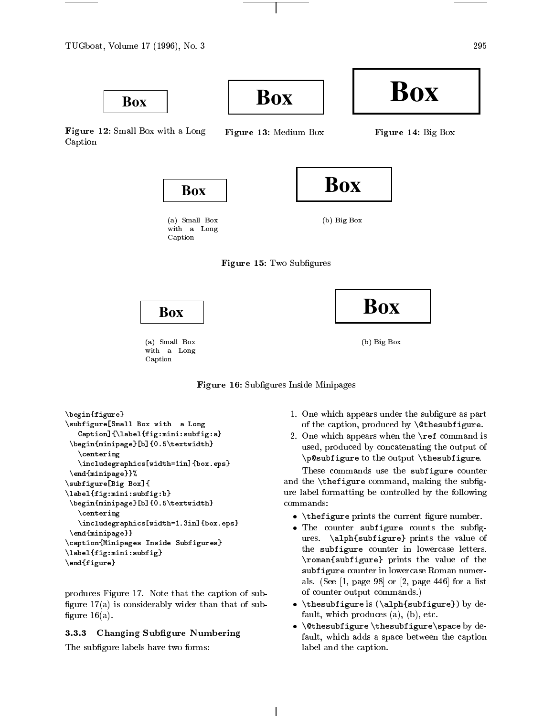

Figure 12: Small Box with <sup>a</sup> Long

Caption

Figure 13: Medium Box

**Box**



**Box**



 $\sim$  small box  $\sim$  small  $\sim$  small  $\sim$ with <sup>a</sup> Long Caption





**Box**

 $\cdots$   $\cdots$   $\cdots$   $\cdots$ 

 $\sim$   $\sim$   $\sim$   $\sim$   $\sim$   $\sim$ 



(a) Small Box with <sup>a</sup> Long Caption



```
\begin{figure}\subfigure[Small Box with a Long
     Caption]{\label{fig:mini:subfig:a}\begin{minipage}[b]{0.5\textwidth}\centering
      \sum_{i=1}^{n}\end{minipage}}%
\subfigure[Big Box]{
\left(i\right) . The figure is the figure is the figure in the figure is the figure in the figure is the figure in the figure is the figure in the figure in the figure is the figure in the figure in the figure in the figure 
  \bar{b}\centering\includegraphics[width=1.3in]{box.eps}\ddot{\phantom{m}}\alpha , and \alpha is a subset of \alpha in the Subfigures Inside Subfigures Inside Subfigures Inside Subfigures Institute Institute Institute Institute Institute Institute Institute Institute Institute Institute Institute Ins
\left(1-\frac{1}{2}\right) . The substitution of \left(1-\frac{1}{2}\right)\sim \sim \sim \sim \sim \sim \sim \sim
```
produces Figure 17. Note that the caption of sub angure 21,007 ac considerably wider that the that of subgure 16(a).

#### 3.3.3Changing Subgure Numbering

The subgure labels have two forms:

- 1. One which appears under the subgure as part of the caption, produced by \contracting=Attention
- $2.5$  One which appears when the  $\sim$   $2.5$ used, produced by concatenating the output of  $\sim$  to the output  $\sim$  the output  $\sim$  the output  $\sim$

These commands use the subfigure counter and the **the secret can** the substitution of the substitution of the substitution of the substitution of the subs ure label formatting be controlled by the following the following commands:

- $\lambda$  , the compact prints the current in  $\lambda$  and  $\lambda$  .
- The counter subfigure counts the subg- $\mathbb{R}$  . The value of  $\mathbb{R}$  prints the value of  $\mathbb{R}$ the subfigure counter in lowercase letters.  $\sim$  subfigure  $\sim$  prints the value of the value of the value of the value of the value of the value of the value of the value of the value of the value of the value of the value of the value of the value of the value of subfigure counter in lowercast in lower responses and in lower als. (See [2, page 98] or [2, page 446] for a list of a of counter output commands.)
- \thesubfigure is (\alph{subfigure}) by default, which produces (a), (b), etc.
- $\ddotsc$  . These are defined by definition by definition by definition by definition by definition  $\ddotsc$ fault, which adds <sup>a</sup> space between the caption label and the caption.

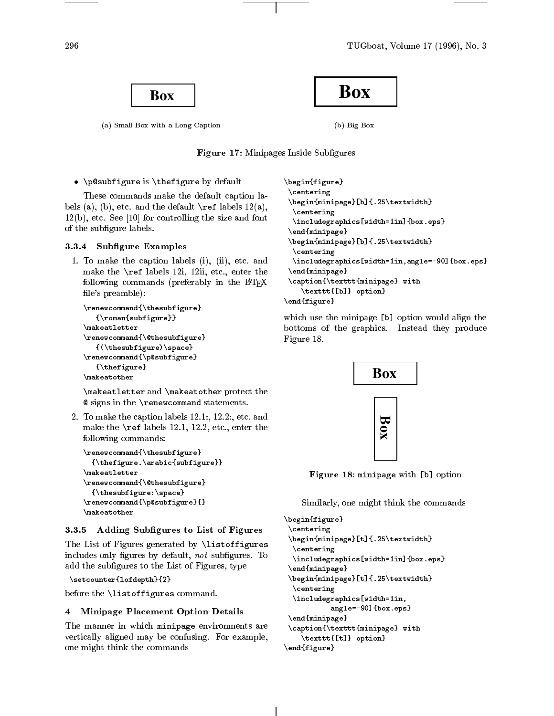**Box**

 $\sim$  small box with a Long Caption and  $\sim$ 



 $\lambda = \lambda$ 

Figure 17: Minipages Inside Subgures

 $\mathbf{p}$  . The subfigure behavior is  $\mathbf{p}$  and  $\mathbf{p}$  are defined by defining the substitution of  $\mathbf{p}$ 

These communication makes the definition caption in the  $b$  and  $\{a_i\}$ , (b), etc. and the default  $\alpha$  and  $\alpha$  is the default  $\alpha$  $1.2$  for controller and  $1.2$  for controlling the size and form  $1.2$ of the subgure labels.

## 3.3.4 Subgure Examples

1. To make the caption labels (i), (ii), etc. and make the labels in the labels in the labels in the theory is the theory of the labels in the control of the co following commands (preferably in the LAT<sub>E</sub>X le's preamble):

```
\renewcommand{\thesubfigure}
     {\scriptstyle\cdots} {\scriptstyle\cdots} . The substitution of {\scriptstyle\cdots}\makeatletter
\cdots\renewcommand{\@thesubfigure}\lambda (i.e. in the subset of \mathbb{R} and \lambda ) is the subset of \lambda\renewcommand{\p@subfigure}{\thefigure}\makeatother
```
 $\mathcal{L}$  and  $\mathcal{L}$  and  $\mathcal{L}$  and  $\mathcal{L}$  there are protected there are protected the set @ signs in the \renewcommand statements.

2. To make the caption labels 12.1:, 12.2:, etc. and make the the state of the labels is the labels the theory is the state of the state of the state of the state following commands:

```
\renewcommand{\thesubfigure}
      {\thefigure.\arabic{subfigure}}\sqrt{2}\renewcommand{\@thesubfigure}{\color{red}\bullet} {\color{red}\bullet} {\color{red}\bullet} {\color{red}\bullet} {\color{red}\bullet} {\color{red}\bullet} {\color{red}\bullet} {\color{red}\bullet} {\color{red}\bullet} {\color{red}\bullet} {\color{red}\bullet} {\color{red}\bullet} {\color{red}\bullet} {\color{red}\bullet} {\color{red}\bullet} {\color{red}\bullet} {\color{red}\bullet} {\color{red}\bullet} {\color{red}\bullet} {\color{red}\bullet} {\color{red}\bullet} {\color{red}\bullet} \renewcommand{\p@subfigure}{}\makeatother
```
## 3.3.5 Adding Subgures to List of Figures

The List of  $\mathbb{R}^n$  and  $\mathbb{R}^n$  are defined by  $\mathbb{R}^n$  and  $\mathbb{R}^n$ includes only gures by default, not subgures. To add the subsequent of the List of Figures, type

```
\setcounter{lofdepth}{2}
```
because the  $\sim$  the  $\sim$  the set of  $\sim$  . The commutation of  $\sim$ 

## 4 Minipage Placement Option Details

The manner in which minipage environments are  $\sim$  . For example, and may be confusing. For example,  $\sim$ one might think the commands the comm

```
\begin{figure}\centering
\begin{minipage}[b]{.25\textwidth}\centering
 \includegraphics[width=1in]{box.eps}\end{minipage}
\begin{minipage}[b]{.25\textwidth}\centering
 \includegraphics[width=1in,angle=-90]{box.eps}\end{minipage}
 \caption{\texttt{minipage} with
    \texttt{[b]} option}
```
 $\sim$   $\sim$   $\sim$   $\sim$   $\sim$   $\sim$   $\sim$   $\sim$ 

which use the minimage was provided would be minimaged the bottoms of the graphics. Instead they produce Figure 18.



Figure 18: minipage with [b] option

 $S = 1, 1, 1, 2, \ldots$  . This temperature the commutation of  $S = 1, 2, \ldots$ 

```
\begin{figure}\centering\begin{minipage}[t]{.25\textwidth}\ddotsc\includegraphics[width=1in]{box.eps}\end{minipage}\begin{minipage}[t]{.25\textwidth}\ddotsc\lambda . The included are \lambda in the \lambda in the \lambdaangle=-90]{box.eps}\cdots\caption{\texttt{minipage} with
    \texttt{[t]} option}
\end{figure}
```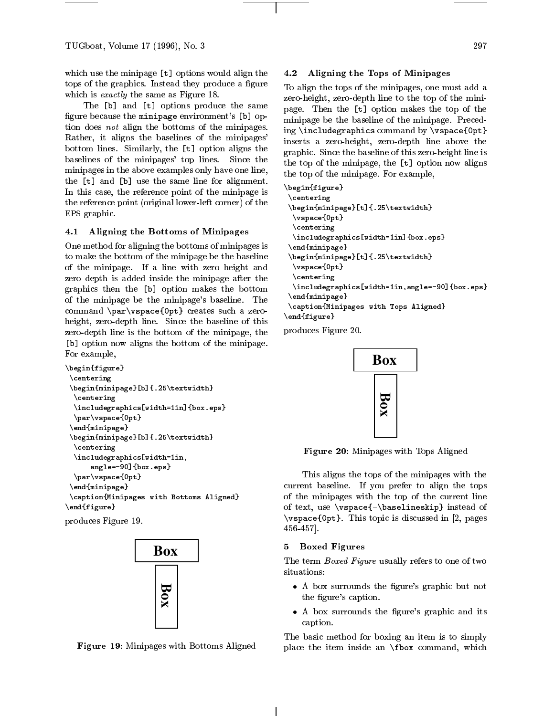which use the minipage [t] options would align the tops of the graphics. Instead they produce a figure which is *exactly* the same as Figure 18.

The [b] and [t] options produce the same figure because the minipage environment's [b] option does not align the bottoms of the minipages. Rather, it aligns the baselines of the minipages' bottom lines. Similarly, the [t] option aligns the baselines of the minipages' top lines. Since the minipages in the above examples only have one line, the [t] and [b] use the same line for alignment. In this case, the reference point of the minipage is the reference point (original lower-left corner) of the EPS graphic.

## 4.1 Aligning the Bottoms of Minipages

One method for aligning the bottoms of minipages is to make the bottom of the minipage be the baseline of the minipage. If a line with zero height and zero depth is added inside the minipage after the graphics then the [b] option makes the bottom of the minipage be the minipage's baseline. The command \par\vspace{0pt} creates such a zeroheight, zero-depth line. Since the baseline of this zero-depth line is the bottom of the minipage, the [b] option now aligns the bottom of the minipage. For example,

```
\begin{figure}
\centering
\begin{minipage}[b]{.25\textwidth}
 \centering
 \includegraphics[width=1in]{box.eps}
 \par\vspace{0pt}
\end{minipage}
\begin{minipage}[b]{.25\textwidth}
 \centering
 \includegraphics[width=1in,
      angle=-90]{box.eps}
 \par\vspace{0pt}
\end{minipage}
\caption{Minipages with Bottoms Aligned}
\end{figure}
```
produces Figure 19.



Figure 19: Minipages with Bottoms Aligned

## 4.2 Aligning the Tops of Minipages

To align the tops of the minipages, one must add a zero-height, zero-depth line to the top of the minipage. Then the [t] option makes the top of the minipage be the baseline of the minipage. Preceding \includegraphics command by \vspace{0pt} inserts a zero-height, zero-depth line above the graphic. Since the baseline of this zero-height line is the top of the minipage, the [t] option now aligns the top of the minipage. For example,

```
\begin{figure}
\centering
\begin{minipage}[t]{.25\textwidth}
 \vspace{0pt}
 \centering
 \includegraphics[width=1in]{box.eps}
\end{minipage}
\begin{minipage}[t]{.25\textwidth}
 \vspace{0pt}
 \centering
 \includegraphics[width=1in,angle=-90]{box.eps}
\end{minipage}
\caption{Minipages with Tops Aligned}
\end{figure}
```
produces Figure 20.



Figure 20: Minipages with Tops Aligned

This aligns the tops of the minipages with the current baseline. If you prefer to align the tops of the minipages with the top of the current line of text, use \vspace{-\baselineskip} instead of \vspace{0pt}. This topic is discussed in [2, pages 456-457].

## 5 Boxed Figures

The term Boxed Figure usually refers to one of two situations:

- A box surrounds the figure's graphic but not the figure's caption.
- A box surrounds the figure's graphic and its caption.

The basic method for boxing an item is to simply place the item inside an \fbox command, which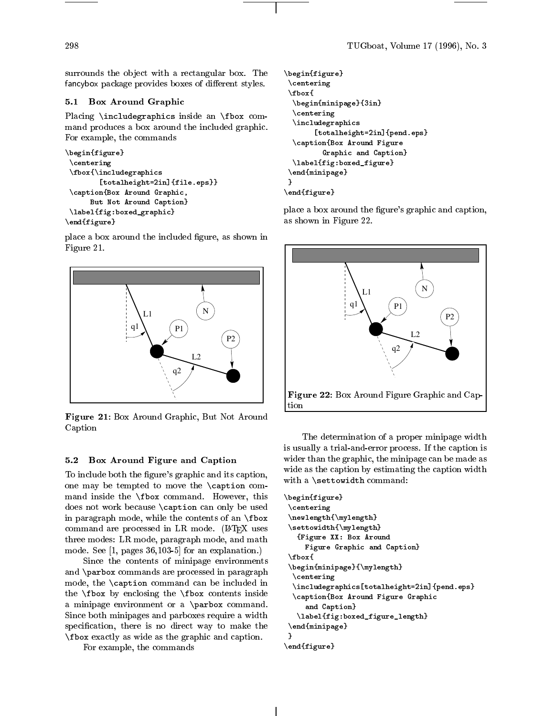surrounds the object with a rectangular box. The fancybox package provides boxes of different styles.

## 5.1 Box Around Graphic

Placing \includegraphics inside an \fbox command produces a box around the included graphic. For example, the commands

```
\begin{figure}
\centering
\fbox{\includegraphics
        [totalheight=2in]{file.eps}}
\caption{Box Around Graphic,
     But Not Around Caption}
\label{fig:boxed_graphic}
\end{figure}
```
place a box around the included figure, as shown in Figure 21.



Figure 21: Box Around Graphic, But Not Around Caption

## 5.2 Box Around Figure and Caption

To include both the figure's graphic and its caption, one may be tempted to move the \caption command inside the \fbox command. However, this does not work because \caption can only be used in paragraph mode, while the contents of an \fbox command are processed in LR mode. (IATEX uses three modes: LR mode, paragraph mode, and math mode. See [1, pages 36,103-5] for an explanation.)

Since the contents of minipage environments and \parbox commands are processed in paragraph mode, the \caption command can be included in the  $\text{box}$  by enclosing the  $\text{box}$  contents inside a minipage environment or a \parbox command. Since both minipages and parboxes require a width specification, there is no direct way to make the  $\sum_{i=1}^{n}$  exactly as wide as the graphic and caption.

For example, the commands

```
\begin{figure}
 \centering
 \fbox{
 \begin{minipage}{3in}
 \centering
 \includegraphics
       [totalheight=2in]{pend.eps}
 \caption{Box Around Figure
         Graphic and Caption}
 \label{fig:boxed_figure}
 \end{minipage}
}
\end{figure}
```
place a box around the figure's graphic and caption, as shown in Figure 22.



The determination of a proper minipage width is usually a trial-and-error process. If the caption is wider than the graphic, the minipage can be made as wide as the caption by estimating the caption width with a \settowidth command:

```
\begin{figure}
\centering
\newlength{\mylength}
\settowidth{\mylength}
  {Figure XX: Box Around
    Figure Graphic and Caption}
\fbox{
\begin{minipage}{\mylength}
 \centering
 \includegraphics[totalheight=2in]{pend.eps}
 \caption{Box Around Figure Graphic
    and Caption}
   \label{fig:boxed_figure_length}
\end{minipage}
}
\end{figure}
```
298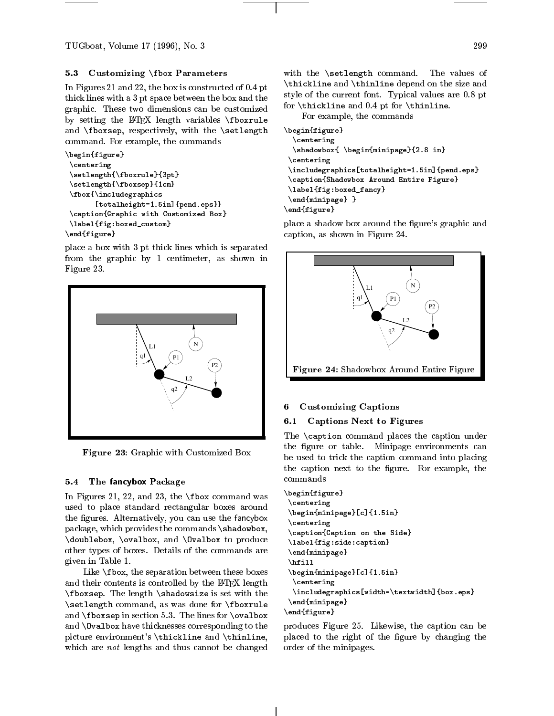## $5.3$  Customizing  $\{5.3$  Customizing  $\{5.3, 10.3, 10.3, 10.3, 10.3, 10.3, 10.3, 10.3, 10.3, 10.3, 10.3, 10.3, 10.3, 10.3, 10.3, 10.3, 10.3, 10.3, 10.3, 10.3, 10.3, 10.3, 10.3, 10.3, 10.3, 10.3, 10.3, 10.3, 10.3, 10.3, 1$

In Figures 21 and 22, the box is constructed of 0.4 pt thick lines with a 3 pt space between the box and the graphic. These two dimensions can be customized by setting the LATEX length variables \fboxrule and \fboxsep, respectively, with the \setlength command. For example, the commands

```
\begin{figure}
\centering
\setlength{\fboxrule}{3pt}
\setlength{\fboxsep}{1cm}
\fbox{\includegraphics
       [totalheight=1.5in]{pend.eps}}
\caption{Graphic with Customized Box}
\label{fig:boxed_custom}
\end{figure}
```
place a box with 3 pt thick lines which is separated from the graphic by 1 centimeter, as shown in Figure 23.



Figure 23: Graphic with Customized Box

#### 5.4The fancybox Package

In Figures 21, 22, and 23, the \fbox command was used to place standard rectangular boxes around the figures. Alternatively, you can use the fancybox package, which provides the commands \shadowbox, \doublebox, \ovalbox, and \Ovalbox to produce other types of boxes. Details of the commands are given in Table 1.

Like \fbox, the separation between these boxes and their contents is controlled by the LATEX length \fboxsep. The length \shadowsize is set with the \setlength command, as was done for \fboxrule and \fboxsep in section 5.3. The lines for \ovalbox and \Ovalbox have thicknesses corresponding to the picture environment's \thickline and \thinline, which are not lengths and thus cannot be changed with the \setlength command. The values of  $\ddotsc$  and  $\ddotsc$  and  $\ddotsc$  and  $\ddotsc$  and  $\ddotsc$  and  $\ddotsc$  and  $\ddotsc$  and  $\ddotsc$ style of the current font. Typical values are 0.8 pt for \thickline and 0.4 pt for \thinline.

For example, the commands

```
\begin{figure}
 \centering
 \shadowbox{ \begin{minipage}{2.8 in}
\centering
\includegraphics[totalheight=1.5in]{pend.eps}
\caption{Shadowbox Around Entire Figure}
\label{fig:boxed_fancy}
\end{minipage} }
\end{figure}
```
place a shadow box around the figure's graphic and caption, as shown in Figure 24.



#### 6Customizing Captions

#### 6.1Captions Next to Figures

The \caption command places the caption under the figure or table. Minipage environments can be used to trick the caption command into placing the caption next to the figure. For example, the commands

```
\begin{figure}
 \centering
 \begin{minipage}[c]{1.5in}
 \centering
 \caption{Caption on the Side}
 \label{fig:side:caption}
 \end{minipage}
 \hfill
  \mathbf{h} is a set of the set of the set of the set of the set of the set of the set of the set of the set of the set of the set of the set of the set of the set of the set of the set of the set of the set of the set of th
 \begin{minipage}[c]{1.5in}
   \centering
   \includegraphics[width=\textwidth]{box.eps}
 \end{minipage}
\end{figure}
```
produces Figure 25. Likewise, the caption can be placed to the right of the figure by changing the order of the minipages.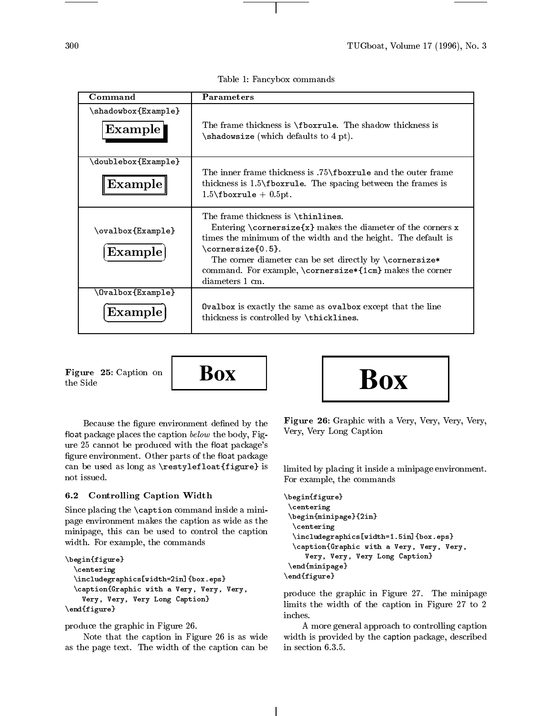Table 1: Fancybox commands

| Command                                   | <b>Parameters</b>                                                                                                                                                                                                                                                                                                                                                                                                                                                                                                                                                                                                                                                                                   |
|-------------------------------------------|-----------------------------------------------------------------------------------------------------------------------------------------------------------------------------------------------------------------------------------------------------------------------------------------------------------------------------------------------------------------------------------------------------------------------------------------------------------------------------------------------------------------------------------------------------------------------------------------------------------------------------------------------------------------------------------------------------|
|                                           |                                                                                                                                                                                                                                                                                                                                                                                                                                                                                                                                                                                                                                                                                                     |
| \shadowbox{Example}<br>Example            | The frame thickness is \fboxrule. The shadow thickness is<br>$\lambda$ shadowsize (which defaults to 4 pt).                                                                                                                                                                                                                                                                                                                                                                                                                                                                                                                                                                                         |
| \doublebox{Example}                       |                                                                                                                                                                                                                                                                                                                                                                                                                                                                                                                                                                                                                                                                                                     |
| $Example$                                 | The inner frame thickness is .75\fboxrule and the outer frame<br>thickness is $1.5 \text{borrule}$ . The spacing between the frames is<br>$1.5\backslash$ fboxrule + 0.5pt.                                                                                                                                                                                                                                                                                                                                                                                                                                                                                                                         |
| \ovalbox{Example}<br>Example              | The frame thickness is \thinlines.<br>Entering $\corner size\{x\}$ makes the diameter of the corners x<br>times the minimum of the width and the height. The default is<br>$\{\text{cornersize}\{0.5\}.$<br>The corner diameter can be set directly by \cornersize*<br>command. For example, $\complement$ $\complement$ $\complement$ $\complement$ $\complement$ $\complement$ $\complement$ $\complement$ $\complement$ $\complement$ $\complement$ $\complement$ $\complement$ $\complement$ $\complement$ $\complement$ $\complement$ $\cong$ $\complement$ $\cong$ $\cong$ $\cong$ $\cong$ $\cong$ $\cong$ $\cong$ $\cong$ $\cong$ $\cong$ $\cong$ $\cong$ $\cong$ $\cong$<br>diameters 1 cm. |
| <b>Ovalbox{Example}</b><br><b>Example</b> | <b>Ovalbox</b> is exactly the same as ovalbox except that the line<br>thickness is controlled by $\theta$ .                                                                                                                                                                                                                                                                                                                                                                                                                                                                                                                                                                                         |

Figure 25: Caption on Figure 25: Caption on  $\begin{array}{|c|c|} \hline \textbf{F} & \textbf{Box} \ \textbf{to} & \textbf{Box} \ \hline \end{array}$ 



Because the figure environment defined by the float package places the caption  $below$  the body, Figure 25 cannot be produced with the float package's figure environment. Other parts of the float package can be used as long as \restylefloat{figure} is not issued.

#### 6.2Controlling Caption Width

Since placing the \caption command inside a minipage environment makes the caption as wide as the minipage, this can be used to control the caption width. For example, the commands

```
\begin{figure}\centering
     \Box\ldots . The contraction with a very very, Very, Very, Very, Very, Very, Very, Very, Very, Very, Very, Very, Very, Very, Very, Very, Very, Very, Very, Very, Very, Very, Very, Very, Very, Very, Very, Very, Very, Very, Very,
         Very, Very, Very Long Caption}
\sim \sim \sim \sim \sim \sim \sim \sim
```
produce the graphic in Figure 26.

Note that the caption in Figure 26 is as wide as the page text. The width of the caption can be



Figure 26: Graphic with a Very, Very, Very, Very, Very, Very Long Caption

limited by placing it inside a minipage environment. For example, the commands

```
\begin{figure}\ddotsc\begin{minipage}{2in}\ddotsc\Box\alphaVery, Very, Very Long Caption}
\cdots\end{figure}
```
produce the graphic in Figure 27. The minipage limits the width of the caption in Figure 27 to 2 inches.

A more general approach to controlling caption width is provided by the caption package, described in section 6.3.5.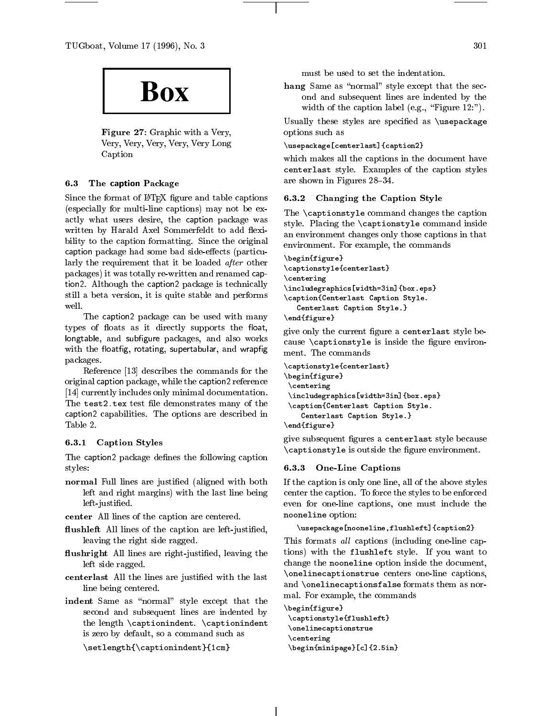TUGboat, Volume 17 (1996), No. 3



Figure 27: Graphic with a Very, Very, Very, Very, Very, Very Long Caption

#### 6.3The caption Package

Since the format of IATEX figure and table captions (especially for multi-line captions) may not be exactly what users desire, the caption package was written by Harald Axel Sommerfeldt to add flexibility to the caption formatting. Since the original caption package had some bad side-eects (particularly the requirement that it be loaded after other packages) it was totally re-written and renamed caption2. Although the caption2 package is technically still a beta version, it is quite stable and performs well.

The caption2 package can be used with many types of floats as it directly supports the float, longtable, and subfigure packages, and also works with the floatfig, rotating, supertabular, and wrapfig packages.

Reference [13] describes the commands for the original caption package, while the caption2 reference [14] currently includes only minimal documentation. The test2.tex test file demonstrates many of the caption capabilities. The options are described in

## 6.3.1 Caption Styles

The caption2 package defines the following caption styles:

- normal Full lines are justied (aligned with both left and right margins) with the last line being left-justied.
- center All lines of the caption are centered.
- ushleft All lines of the caption are left-justied, leaving the right side ragged.
- ushright All lines are right-justied, leaving the left side ragged.
- centerlast are the matrix with justices with the last  $\sim$ line being centered.
- indent Same as \normal" style except that the second and subsequent lines are indented by the length \captionindent. \captionindent is zero by default, so a command such as

\setlength{\captionindent}{1cm}

must be used to set the indentation.

 $\mathbf{F}$  statistic as the statistic except that the second and subsequent lines are indented by the width of the caption label (e.g., "Figure  $12$ :").

Usually these styles are specified as \usepackage options such as

## \usepackage[centerlast]{caption2}

which makes all the captions in the document have centerlast style. Examples of the caption styles are shown in Figures 28-34.

#### 6.3.2Changing the Caption Style

The \captionstyle command changes the caption style. Placing the \captionstyle command inside an environment changes only those captions in that environment. For example, the commands

```
\begin{figure}\captionstyle{centerlast}\centering
\includegraphics[width=3in]{box.eps}\caption{Centerlast Caption Style.
   Centerlast Caption Style.}
```
 $\ddot{\phantom{F}}$ 

give only the current figure a centerlast style because  $\emptyset$  captionstyle is inside the figure environment. The commands

```
\captionstyle{centerlast}\begin{figure}\centering\includegraphics[width=3in]{box.eps}\caption{Centerlast Caption Style.
    Centerlast Caption Style.}
\end{figure}
```
give subsequent figures a centerlast style because  $\alpha$  is outside the continuous environment entries the continuous entire entire entire entries the continuous entries of  $\alpha$ 

## 6.3.3 One-Line Captions

If the caption is only one line, all of the above styles center the caption. To force the styles to be enforced even for one-line captions, one must include the nooneline option:

```
\mathcal{C}
```
This formats all captions (including one-line captions) with the flushleft style. If you want to change the nooneline option inside the document,  $\overline{\phantom{a}}$ and \onelinecaptionsfalse formats them as normal. For example, the commands

```
\begin{figure}\captionstyle{flushleft}\onelinecaptionstrue\ddotsc\begin{minipage}[c]{2.5in}
```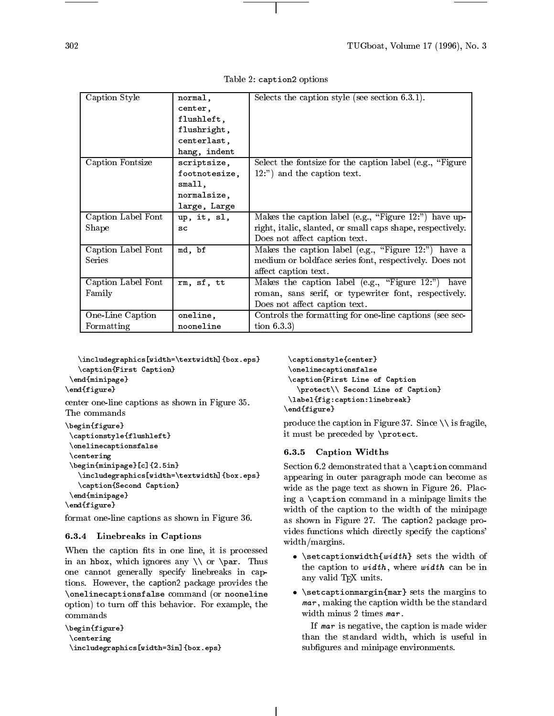| Caption Style      | normal,       | Selects the caption style (see section $6.3.1$ ).           |
|--------------------|---------------|-------------------------------------------------------------|
|                    | center,       |                                                             |
|                    | flushleft,    |                                                             |
|                    |               |                                                             |
|                    | flushright,   |                                                             |
|                    | centerlast,   |                                                             |
|                    | hang, indent  |                                                             |
| Caption Fontsize   | scriptsize,   | Select the fontsize for the caption label (e.g., "Figure")  |
|                    | footnotesize, | 12:") and the caption text.                                 |
|                    | small.        |                                                             |
|                    | normalsize,   |                                                             |
|                    | large, Large  |                                                             |
| Caption Label Font | up, it, sl,   | Makes the caption label (e.g., "Figure $12$ .") have up-    |
| Shape              | SC            | right, it alic, slanted, or small caps shape, respectively. |
|                    |               | Does not affect caption text.                               |
| Caption Label Font | md, bf        | Makes the caption label (e.g., "Figure 12:") have a         |
| Series             |               | medium or boldface series font, respectively. Does not      |
|                    |               | affect caption text.                                        |
| Caption Label Font | rm, sf, tt    | Makes the caption label (e.g., "Figure 12.")<br>have        |
| Family             |               | roman, sans serif, or typewriter font, respectively.        |
|                    |               | Does not affect caption text.                               |
| One-Line Caption   | oneline,      | Controls the formatting for one-line captions (see sec-     |
| Formatting         | nooneline     | tion $6.3.3$                                                |

Table 2: caption2 options

 $\sum_{i=1}^{n}$ \caption{First Caption}  $\cdots$ 

```
\ddot{\phantom{F}}
```
center one-line captions as shown in Figure 35. The commands common common common common common common common common common common common common common common common common common common common common common common common common common common common common common common

```
\ddot{\phantom{F}}\captionstyle{flushleft}\onelinecaptionsfalse
  \ddotsc\bar{m} , and \bar{m} are \bar{m} and \bar{m} are \bar{m} and \bar{m} are \bar{m} and \bar{m} are \bar{m} and \bar{m} are \bar{m} and \bar{m} are \bar{m} and \bar{m} are \bar{m} and \bar{m} are \bar{m} and \bar{m} are \bar\lambda -contractor \lambda -contractors \lambda . The contractor \lambda\caption{Second Caption}
 \end{minipage}\sim \sim \sim \sim \sim \sim \sim \sim
```
format one-line captions as shown in Figure 36.

## 6.3.4 Linebreaks in Captions

when the cuption into in one line, it is no processed in an interval and in the intervals and  $\alpha$ one cannot generally specify linebreaks in captions. However, the caption2 package provides the \onelinecaptionsfalse command (or nooneline option) to turn <sup>o</sup> this behavior. For example, the

```
\begin{figure}\ddotsc\includegraphics[width=3in]{box.eps}
```

```
\sqrt{c}\onelinecaptionsfalse\caption{First Line of Caption
   \mathcal{S} , second caption of \mathcal{S}\left(1-\frac{1}{2},\frac{1}{2},\frac{1}{2},\frac{1}{2}\right)\ddot{\phantom{F}}
```
produce the caption in Figure 37. Since \\ is fragile, it must be preceded by \protect.

## 6.3.5 Caption Widths

section for a communication communication communication communication communication communication communicatio appearing in outer paragraph mode can become as wide as the page text as shown in Figure 26. Placeing a  $\overline{\phantom{a}}$  component communities the minimipal  $\overline{\phantom{a}}$  communities the  $\overline{\phantom{a}}$ with one caption to the caption to the minimage  $\alpha$  the minimage  $\alpha$ as shown in Figure 27. The caption package provides functions which directly specify the captions'  $\ldots$  and  $\ldots$  matrix  $\ldots$ 

- $\mathcal{S}$  , with  $\mathcal{S}$  and width of width of width of width of width of width of  $\mathcal{S}$ the caption to width , where width can be in any valid TEX units.
- \setcaptionmargin{mar} sets the margins to mar , making the caption width be the standard

If mar is negative, the caption is made wider than the standard width, which is useful in substantial minipale environments. The mini-term of the mini-term of the second contract of the second contract of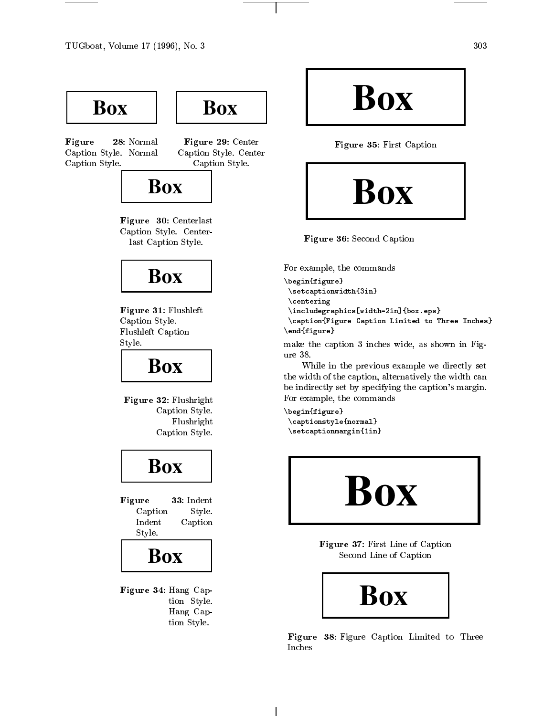

**Box**

Figure 28: Normal Caption Style. Normal Caption Style.

Figure 29: Center Caption Style. Center Caption Style.



Figure 30: Centerlast Caption Style. Centerlast Caption Style.

## **Box**

Figure 31: Flushleft Caption Style. Flushleft Caption  $\sim$  ... . .

## **Box**

Figure 32: Flushright Caption Style. Flushright Coption Style Style Style

## **Box**

Figure 33: Indent Caption Style. Indent Caption Style.



Figure 34: Hang Caption Style. Hang Caption Style.

**Box**

Figure 35: First Caption



Figure 36: Second Caption

For example, the commands

```
\begin{figure}\setcaptionwidth{3in}\ddotsc\includegraphics[width=2in]{box.eps}\mathcal{F} . The caption \mathcal{F} and \mathcal{F} are \mathcal{F} to Three Inches Inches Inches Inches Inches Inches Inches Inches Inches Inches Inches Inches Inches Inches Inches Inches Inches Inches Inches Inches Inches Inches 
\end{figure}
```
make the caption <sup>3</sup> inches wide, as shown in Fig-

while in the previous example we directly set the width of the coption, within the width caption, alternatively be indirectly set by specifying the caption's margin. For example, the commands

\begin{figure}\captionstyle{normal}\setcaptionmargin{1in}



Figure 37: First Line of Caption Second Line of Caption



Figure 38: Figure Caption Limited to Three Inches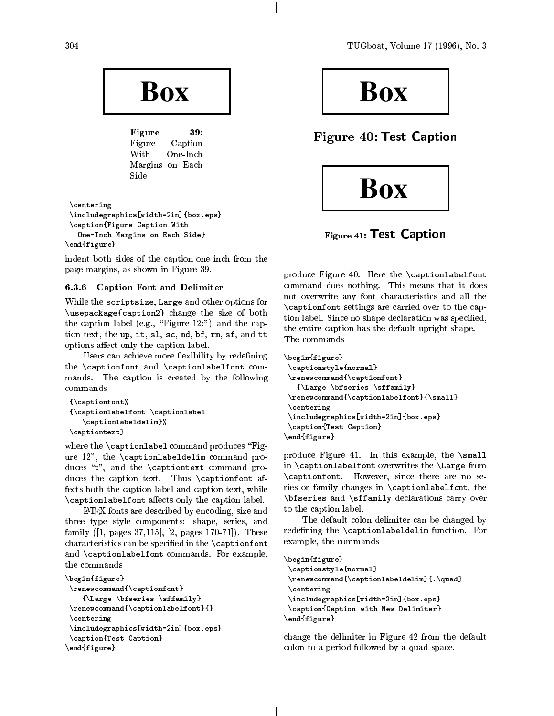

Figure 39: Figure Caption With One-Inch Margins on Each  $\sim$  -  $\sim$   $\sim$ 

\centering

```
\includegraphics[width=2in]{box.eps}\epsilon . Figure Caption Caption With \epsilonOne-Inch Margins on Each Side}
\ddot{\phantom{F}}
```
index of the cause of the cuption capt from the from the cap page margins, as shown in Figure 39.

## 6.3.6 Caption Font and Delimiter

while the scriptsize of the scriptsize, and other options for  $\sim$  $\mathbf{r}$  . The size of both size of both size of both size of both size of both size of both size of both size of both size of both size of both size of both size of both size of both size of both size of both size of bot  $t_{\rm max}$  caption for  $t_{\rm max}$  . Figure 12:  $t_{\rm max}$  and the caption text, the up, it, si, st, mu, si, si, si, si, what the options aect only the caption label.

Users can achieve more exibility by redening  $\ldots$  , and  $\ldots$  and  $\ldots$  and  $\ldots$  and  $\ldots$ mands. The caption is created by the following commands

```
{\cal L} \sim {\cal L} \sim {\cal L} \sim {\cal L} \sim {\cal L}{\captionlabelfont \captionlabel
     \captionlabeldelim}%
\captiontext}
```
where the the the theorem is the commutation produces  $\mathcal{F}$ ure 12", the \captionlabeldelim command produces \:", and the \captiontext command pro- $\alpha$  duces the captions text. The caption text. The caption  $\alpha$ fects both the caption label and caption text, while the caption  $\epsilon$  , and the continuum are captionlabel. The caption is called the caption of  $\epsilon$ 

LATEX fonts are described by encoding, size and three type style components: shape, series, and family ([1, pages 37,115], [2, pages 170-71]). These characteristics can be specified in the specific in the specific in the specific in the specific in the specifi  $\sim$  . For  $\epsilon$  communications communications. For example,

```
\ddot{\phantom{F}}\renewcommand{\captionfont}
     {\bf x} \bar{\bf x} . There is the state {\bf x}\renewcommand{\captionlabelfont}{}\centering
\includegraphics[width=2in]{box.eps}\cdots . \cdots . \cdots . \cdots . \cdots\ddot{\phantom{F}}
```


Figure 40: Test Caption



Figure 41: Test Caption

produce Figure 40. Here the \captionlabelfont communication and does nothing. This means that it does not it does not overwrite any font characteristics and all the \captionfont settings are carried over to the caption label. Since no shape declaration was specied, the entire caption has the default upright shape.

```
\begin{figure}\captionstyle{normal}\renewcommand{\captionfont}
   {\bf x} \bar{\bf x} . There is the state {\bf x}\renewcommand{\captionlabelfont}{\small}\centering
 \includegraphics[width=2in]{box.eps}\caption{Test Caption}
\ddot{\phantom{F}}
```
 $p \sim 0.000$  Figure 41. In this example, the  $\sim 100$ in  $\epsilon$  in the captive order the  $\epsilon$  over  $\epsilon$  over  $\epsilon$  and  $\epsilon$  $\alpha$  , i.e., we have a second there are no second are no second there are no second there are no second the  $\alpha$ ries or family changes in \captionlabelfont, the  $\ddotsc$  and  $\ddotsc$  and  $\ddotsc$  and  $\ddotsc$  carry over carry over  $\ddotsc$  over  $\ddotsc$ to the caption label.

The default colon delimiter can be changed by redening the \captionlabeldelim function. For example, the commands

```
\ddot{\phantom{F}}\sqrt{2}\renewcommand{\captionlabeldelim}{.\quad}
 \centering
\includegraphics[width=2in]{box.eps}\zeta . The \zeta caption with New Delimited with \zeta\sim \sim \sim \sim \sim \sim \sim \sim
```
change the definition in Figure 12 from the definition colon to <sup>a</sup> period followed by <sup>a</sup> quad space.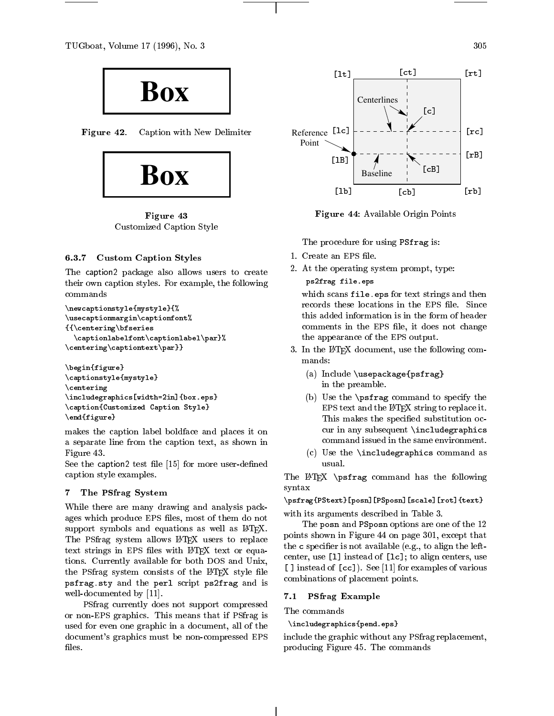

Figure 42. Caption with New Delimiter



Figure <sup>43</sup> Customized Caption Style

#### 6.3.7Custom Caption Styles

The caption2 package also allows users to create their own caption styles. For example, the following commands

```
\newcaptionstyle{mystyle}{%\sqrt{2} . The contraction of \mathbb{R}{\cal L} ( {\cal L} ) {\cal L} and {\cal L} is equal to the series of the set of the set of the set of the set of the set of the set of the set of the set of the set of the set of the set of the set of the set of the set of the s
      \cdots . It is considered and \cdots , we have a set of \cdots . The set of \cdots\centering\captiontext\par}}
```

```
\begin{figure}\captionstyle{mystyle}
\ddotsc\includegraphics[width=2in]{box.eps}\caption{Customized Caption Style}
\ddot{\phantom{F}}
```
makes the caption label boldface and places it on a separate line from the caption text, as shown in Figure 43.

See the caption2 test file  $[15]$  for more user-defined caption style examples.

#### 7The PSfrag System

While there are many drawing and analysis packages which produce EPS files, most of them do not support symbols and equations as well as IATEX. The PSfrag system allows L<sup>AT</sup>EX users to replace text strings in EPS files with LATEX text or equations. Currently available for both DOS and Unix, the PSfrag system consists of the IATEX style file psfrag.sty and the perl script ps2frag and is well-documented by [11].

PSfrag currently does not support compressed or non-EPS graphics. This means that if PSfrag is used for even one graphic in a document, all of the document's graphics must be non-compressed EPS files.



Figure 44: Available Origin Points

The procedure for using PSfrag is:

- 1. Create an EPS file.
- 2. At the operating system prompt, type:

ps2frag file.eps

which scans file.eps for text strings and then records these locations in the EPS file. Since this added information is in the form of header comments in the EPS file, it does not change the appearance of the EPS output.

- 3. In the LAT<sub>EX</sub> document, use the following commands:
	- (a) Include \usepackage{psfrag} in the preamble.
	- (b) Use the \psfrag command to specify the EPS text and the LATEX string to replace it. This makes the specied substitution occur in any subsequent \includegraphics command issued in the same environment.
	- (c) Use the \includegraphics command as usual.

The LATEX \psfrag command has the following syntax

 $\mathcal{P}$  , possibly a positive positive  $\mathcal{P}$  , the set  $\mathcal{P}$ with its arguments described in Table 3.

The posn and PSposn options are one of the 12 points shown in Figure 44 on page 301, except that the  $\mathtt{c}$  specifier is not available (e.g., to align the leftcenter, use [l] instead of [lc]; to align centers, use [ ] instead of [cc]). See [11] for examples of various combinations of placement points.

## 7.1 PSfrag Examples

The commands

 $\sum_{i=1}^{n}$ 

include the graphic without any PSfrag replacement, producing Figure 45. The commands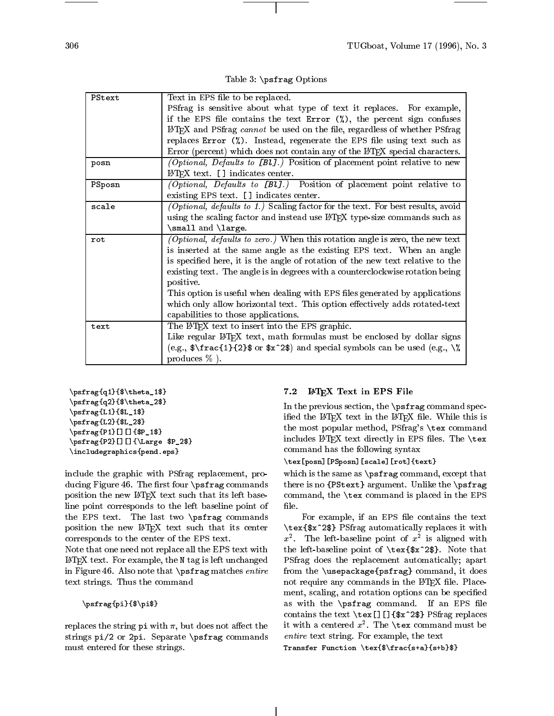Table 3: \psfrag Options

| PStext |                                                                                                                           |
|--------|---------------------------------------------------------------------------------------------------------------------------|
|        | Text in EPS file to be replaced.                                                                                          |
|        | PSfrag is sensitive about what type of text it replaces. For example,                                                     |
|        | if the EPS file contains the text Error $\binom{1}{k}$ , the percent sign confuses                                        |
|        | LATEX and PSfrag cannot be used on the file, regardless of whether PSfrag                                                 |
|        | replaces Error $(\%)$ . Instead, regenerate the EPS file using text such as                                               |
|        | Error (percent) which does not contain any of the IATEX special characters.                                               |
| posn   | <i>(Optional, Defaults to [Bl].)</i> Position of placement point relative to new                                          |
|        | $IATFX$ text. [] indicates center.                                                                                        |
| PSposn | (Optional, Defaults to [Bl].) Position of placement point relative to                                                     |
|        | existing EPS text. [] indicates center.                                                                                   |
| scale  | (Optional, defaults to 1.) Scaling factor for the text. For best results, avoid                                           |
|        | using the scaling factor and instead use IATEX type-size commands such as                                                 |
|        | \small and \large.                                                                                                        |
| rot    | (Optional, defaults to zero.) When this rotation angle is zero, the new text                                              |
|        | is inserted at the same angle as the existing EPS text. When an angle                                                     |
|        | is specified here, it is the angle of rotation of the new text relative to the                                            |
|        |                                                                                                                           |
|        |                                                                                                                           |
|        | existing text. The angle is in degrees with a counterclockwise rotation being<br>positive.                                |
|        |                                                                                                                           |
|        | This option is useful when dealing with EPS files generated by applications                                               |
|        | which only allow horizontal text. This option effectively adds rotated-text<br>capabilities to those applications.        |
| text   |                                                                                                                           |
|        | The IATEX text to insert into the EPS graphic.<br>Like regular IATEX text, math formulas must be enclosed by dollar signs |
|        | (e.g., $\frac{1}{2}\$ or $x^2$ ) and special symbols can be used (e.g., $\%$                                              |

 $\cdots$  $\lambda_1$  , ps fraction  $\lambda_2$  ,  $\lambda_3$  ,  $\lambda_4$  ,  $\lambda_5$  ,  $\lambda_6$  ,  $\lambda_7$  ,  $\lambda_8$  ,  $\lambda_9$ \psfrag{L1}{\$L\_1\$} \psfrag{L2}{\$L\_2\$} $\mathcal{P}_1$  , properting  $\mathcal{P}_2$  , and  $\mathcal{P}_2$  , and  $\mathcal{P}_3$  , and  $\mathcal{P}_4$  , and  $\mathcal{P}_5$  , and  $\mathcal{P}_6$  , and  $\mathcal{P}_7$  , and  $\mathcal{P}_8$  , and  $\mathcal{P}_9$  , and  $\mathcal{P}_8$  , and  $\mathcal{P}_9$  , and  $\mathcal{P}_9$  , and  $\mathcal{P$  $\mathcal{P}$  , and  $\mathcal{P}$  are  $\mathcal{P}$  . The parameter  $\mathcal{P}$ \includegraphics{pend.eps}

include the graphic with PSfrag replacement, producing Figure 46. The first four  $\psfrak{s}$  commands position the new LAT<sub>EX</sub> text such that its left baseline point corresponds to the left baseline point of the EPS text. The last two \psfrag commands position the new LATEX text such that its center corresponds to the center of the EPS text.

Note that one need not replace all the EPS text with LATEX text. For example, the <sup>N</sup> tag is left unchanged in Figure 46. Also note that \psfrag matches entire text strings. Thus the command

 $\gamma$  pix  $=$   $=$   $=$   $\gamma$   $\gamma$   $=$   $\gamma$   $=$   $\gamma$   $=$   $\gamma$   $=$   $\gamma$   $=$   $\gamma$   $=$   $\gamma$   $=$   $\gamma$   $=$   $\gamma$   $=$   $\gamma$   $=$   $\gamma$   $=$   $\gamma$   $=$   $\gamma$   $=$   $\gamma$   $=$   $\gamma$   $=$   $\gamma$   $=$   $\gamma$   $=$   $\gamma$   $=$   $\gamma$   $=$   $\gamma$   $=$   $\gamma$   $=$   $\gamma$ 

replaces the string  $pi$  with  $\pi$ , but does not affect the strings pi/2 or 2pi. Separate \psfrag commands must entered for these strings.

## 7.2 LATEX Text in EPS File

In the previous section, the \psfrag command specified the LATEX text in the LATEX file. While this is the most popular method, PSfrag's \tex command includes  $\text{BTrX}$  text directly in EPS files. The \tex command has the following syntax

\tex[posn][PSposn][scale][rot]{text}

which is the same as \psfrag command, except that there is no {PStext} argument. Unlike the \psfrag command, the \tex command is placed in the EPS

For example, if an EPS file contains the text  $\ddot{\phantom{a}}$  respectively replaces it with  $\ddot{\phantom{a}}$  replaces it with  $\ddot{\phantom{a}}$  $x^2$ . The left-baseline point of  $x^2$  is aligned with the left-baseline point of \tex{\$x^2\$}. Note that PSfrag does the replacement automatically; apart from the \usepackage{psfrag} command, it does not require any commands in the IATEX file. Placement, scaling, and rotation options can be specied as with the  $\psfig$  command. If an EPS file contains the text  $\text{I}$  []  $\frac{\frac{x^2+1}{x^2}}{2\frac{x^2+1}{x^2+1}}$  PSfrag replaces it with a centered  $x^2$ . The **\tex** command must be entire text string. For example, the text

Transfer Function \tex{\$\frac{s+a}{s+b}\$}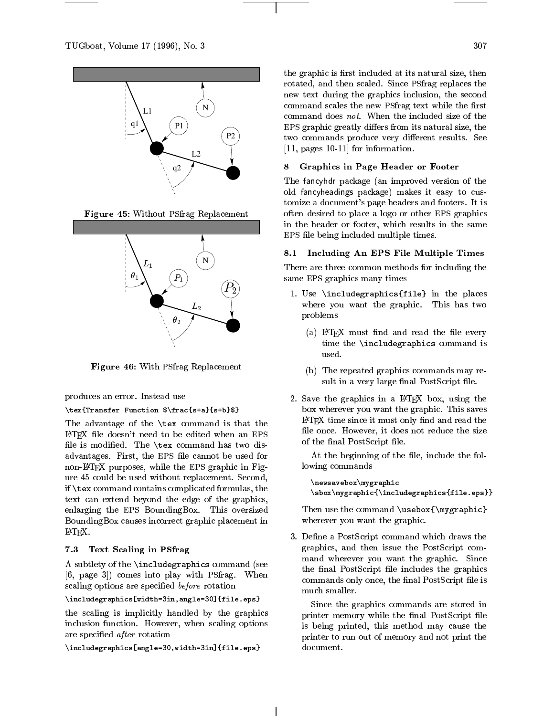

Figure 45: Without PSfrag Replacement



Figure 46: With PSfrag Replacement

produces an error. Instead use

## $\texttt{T} = \texttt{T} = \texttt{S} + \texttt{S} + \texttt{S} + \texttt{S} + \texttt{S} + \texttt{S} + \texttt{S} + \texttt{S} + \texttt{S} + \texttt{S} + \texttt{S} + \texttt{S} + \texttt{S} + \texttt{S} + \texttt{S} + \texttt{S} + \texttt{S} + \texttt{S} + \texttt{S} + \texttt{S} + \texttt{S} + \texttt{S} + \texttt{S} + \texttt{S} + \texttt{S} + \texttt{S} + \texttt{S} + \texttt{S} + \texttt{S} + \texttt$

The advantage of the \tex command is that the LATEX le doesn't need to be edited when an EPS file is modified. The  $\text{tex}\$  command has two disadvantages. First, the EPS file cannot be used for non-LATEX purposes, while the EPS graphic in Figure 45 could be used without replacement. Second, if \tex command contains complicated formulas, the text can extend beyond the edge of the graphics, enlarging the EPS BoundingBox. This oversized BoundingBox causes incorrect graphic placement in LATEX.

## 7.3 Text Scaling in PSfrag

A subtlety of the \includegraphics command (see [6, page 3]) comes into play with PSfrag. When scaling options are specified before rotation

### $\lambda$  -sin, and a philosophic space  $\lambda$  and  $\lambda$  and  $\lambda$

the scaling is implicitly handled by the graphics inclusion function. However, when scaling options are specied after rotation

 $\{1,2,3,4,4,7\}$  and  $\{1,3,4,7\}$  . Expedients are an extension of  $\{1,3,4,7\}$  .

the graphic is first included at its natural size, then rotated, and then scaled. Since PSfrag replaces the new text during the graphics inclusion, the second command scales the new PSfrag text while the first command does not. When the included size of the EPS graphic greatly differs from its natural size, the two commands produce very different results. See [11, pages 10-11] for information.

#### 8 8 Graphics in Page Header or Footer

The fancyhdr package (an improved version of the old fancyheadings package) makes it easy to customize a document's page headers and footers. It is often desired to place a logo or other EPS graphics in the header or footer, which results in the same EPS file being included multiple times.

## 8.1 Including An EPS File Multiple Times

There are three common methods for including the same EPS graphics many times

- 1. Use \includegraphics{file} in the places where you want the graphic. This has two problems
	- (a) IATEX must find and read the file every time the \includegraphics command is used.
	- (b) The repeated graphics commands may result in a very large final PostScript file.
- 2. Save the graphics in a LATEX box, using the box wherever you want the graphic. This saves  $IATFX$  time since it must only find and read the file once. However, it does not reduce the size of the final PostScript file.

At the beginning of the file, include the following commands

 $\sim$ \sbox\mygraphic{\includegraphics{file.eps}}

Then use the command \usebox{\mygraphic} wherever you want the graphic.

3. Define a PostScript command which draws the graphics, and then issue the PostScript command wherever you want the graphic. Since the final PostScript file includes the graphics commands only once, the final PostScript file is much smaller.

Since the graphics commands are stored in printer memory while the final PostScript file is being printed, this method may cause the printer to run out of memory and not print the document.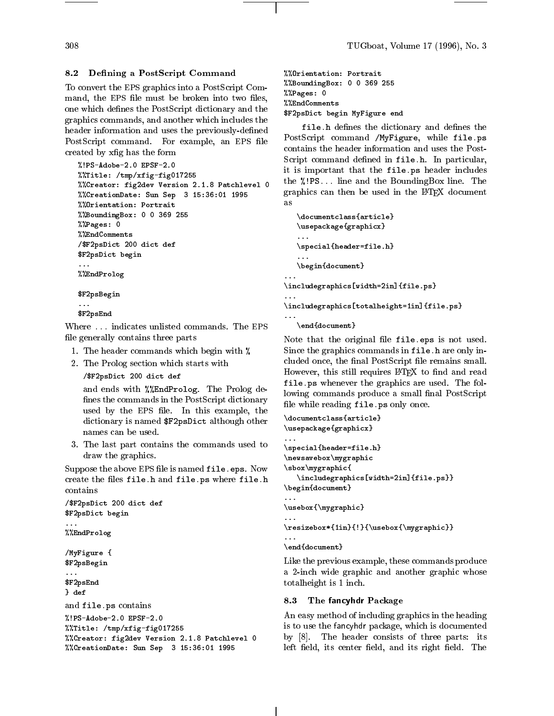#### 8.2Defining a PostScript Command

To convert the EPS graphics into a PostScript Command, the EPS file must be broken into two files, one which defines the PostScript dictionary and the graphics commands, and another which includes the header information and uses the previously-defined PostScript command. For example, an EPS file created by xfig has the form

```
%!PS-Adobe-2.0 EPSF-2.0
%%Title: /tmp/xfig-fig017255
%%Creator: fig2dev Version 2.1.8 Patchlevel 0
%%CreationDate: Sun Sep 3 15:36:01 1995
%%Orientation: Portrait
%%BoundingBox: 0 0 369 255
%%Pages: 0
%%EndComments
/$F2psDict 200 dict def
$F2psDict begin
%%EndProlog
$F2psBegin
$F2psEnd
```
Where ... indicates unlisted commands. The EPS file generally contains three parts

- 1. The header commands which begin with %
- 2. The Prolog section which starts with
	- /\$F2psDict 200 dict def

and ends with %%EndProlog. The Prolog de fines the commands in the PostScript dictionary used by the EPS file. In this example, the dictionary is named \$F2psDict although other names can be used.

3. The last part contains the commands used to draw the graphics.

Suppose the above EPS file is named file.eps. Now create the files file.h and file.ps where file.h contains

```
/$F2psDict 200 dict def
$F2psDict begin
%%EndProlog
/MyFigure {
$F2psBegin
\ldots$F2psEnd
} def
and file.ps contains
%!PS-Adobe-2.0 EPSF-2.0
%%Title: /tmp/xfig-fig017255
%%Creator: fig2dev Version 2.1.8 Patchlevel 0
%%CreationDate: Sun Sep 3 15:36:01 1995
```

```
%%Orientation: Portrait
%%BoundingBox: 0 0 369 255
%%Pages: 0
%%EndComments
$F2psDict begin MyFigure end
```
file.h denes the dictionary and denes the PostScript command /MyFigure, while file.ps contains the header information and uses the Post-Script command defined in file.h. In particular, it is important that the file.ps header includes the %!PS... line and the BoundingBox line. The graphics can then be used in the IAT<sub>EX</sub> document as

```
\documentclass{article}
\usepackage{graphicx}
\special{header=file.h}
\begin{document}
```
\includegraphics[width=2in]{file.ps}

\includegraphics[totalheight=1in]{file.ps}

```
\end{document}
```
 $\ddotsc$ 

Note that the original file file.eps is not used. Since the graphics commands in file.h are only included once, the final PostScript file remains small. However, this still requires L<sup>AT</sup>EX to find and read file.ps whenever the graphics are used. The following commands produce a small final PostScript file while reading file.ps only once.

```
\documentclass{article}
\usepackage{graphicx}
\special{header=file.h}
\newsavebox\mygraphic
\sbox\mygraphic{
   \includegraphics[width=2in]{file.ps}}
\begin{document}
...
\usebox{\mygraphic}
\resizebox*{1in}{!}{\usebox{\mygraphic}}
\ddots\end{document}
```
Like the previous example, these commands produce a 2-inch wide graphic and another graphic whose totalheight is 1 inch.

### 8.3 The fancyhdr Package

An easy method of including graphics in the heading is to use the fancyhdr package, which is documented by [8]. The header consists of three parts: its left field, its center field, and its right field. The

### 308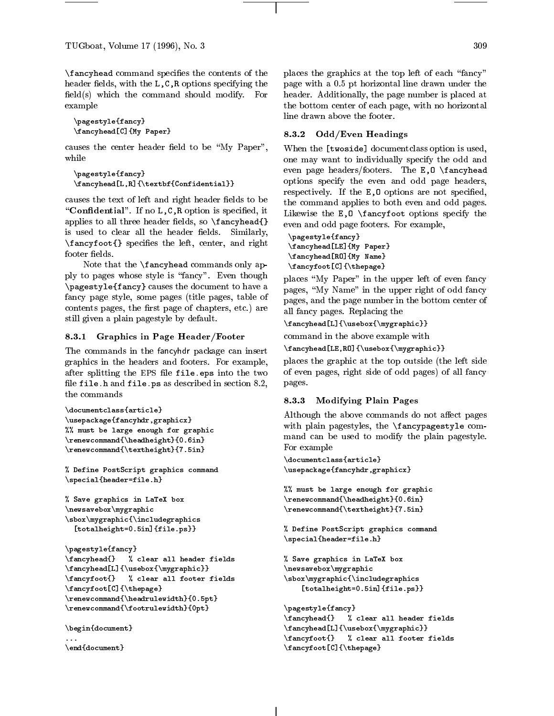$\frac{1}{2}$  command communications the contents of the contents of the contents of the contents of the contents of the contents of the contents of the contents of the contents of the contents of the contents of the contents header fields, with the L,C,R options specifying the field(s) which the command should modify. For example

```
\gamma is equal to \gamma is the second of \gamma\fancyhead[C]{My Paper}
```
causes the center header field to be "My Paper", while

```
\mathbf{f} = \mathbf{f}\fancyhead[L,R]{\textbf{Confidential}}
```
causes the text of left and right header fields to be "Confidential". If no  $L, C, R$  option is specified, it applies to all three header fields, so  $\frac{\text{angle}}{\text{angle}}$ is used to clear all the header fields. Similarly,  $\sum_{i=1}^{n}$  specifies the left, center, and right, footer fields.

Note that the \fancyhead commands only apply to pages whose style is "fancy". Even though  $\mathbf{f}_i$  and a fancy of the document to the document to the document to the document to the document to  $\mathbf{f}_i$ fancy page style, some pages (title pages, table of contents pages, the first page of chapters, etc.) are still given a plain pagestyle by default.

## 8.3.1 Graphics in Page Header/Footer

The commands in the fancyhdr package can insert graphics in the headers and footers. For example, after splitting the EPS file file.eps into the two file file.h and file.ps as described in section  $8.2$ , the commands

```
\ddot{\phantom{a}}\sum_{i=1}^{n}% \mathcal{M} must be large enough for graphic graphic for graphic \mathcal{M}\renewcommand{\headheight}{0.6in}
\renewcommand{\textheight}{7.5in}
```
% Define PostScript graphics command  $\sim$  per files and  $\sim$  and  $\sim$  and  $\sim$ 

```
\mathcal{L} save graphics in LaTeX box
\sim . The same is a set of \sim , where \sim . The same is a set of \sim\mathcal{L}[totalheight=0.5in]{file.ps}}
```

```
\pagestyle{fancy}\fancyhead{} % clear all header fields
\fancyhead[L]{\usebox{\mygraphic}}\fancyfoot{} % clear all footer fields
\fancyfoot[C]{\thepage}
\renewcommand{\headrulewidth}{0.5pt}\sim . The set of the set of the set of the set of the set of the set of the set of the set of the set of the set of the set of the set of the set of the set of the set of the set of the set of the set of the set of the s
```

```
\lambda...\end{document}
```
places the graphics at the top left of each "fancy" page with a 0.5 pt horizontal line drawn under the header. Additionally, the page number is placed at the bottom center of each page, with no horizontal line drawn above the footer.

## 8.3.2 Odd/Even Headings

When the [twoside] documentclass option is used, one may want to individually specify the odd and even page headers/footers. The E,O \fancyhead options specify the even and odd page headers, respectively. If the E, 0 options are not specified, the command applies to both even and odd pages. Likewise the  $E, 0 \setminus \f{ancyfoot options specify the}$ even and odd page footers. For example,

```
\pagestyle{fancy}\ldots . The paper \ldots and \ldots . The paper \ldots\ldots and \ldots and \ldots and \ldots and \ldots and \ldots\fancyfoot[C]{\thepage}
```
places "My Paper" in the upper left of even fancy pages, "My Name" in the upper right of odd fancy pages, and the page number in the bottom center of all fancy pages. Replacing the

```
\fancyhead[L]{\usebox{\mygraphic}}
```
command in the above example with

```
\fancyhead[LE,RO]{\usebox{\mygraphic}}
```
places the graphic at the top outside (the left side of even pages, right side of odd pages) of all fancy pages.

## $\mathbf{S}$ . 3.3.3 Modifying Planet Pages Planet Pages Planet Pages Planet Pages Planet Pages Planet Pages Planet Pages Planet Pages Planet Pages Planet Pages Planet Pages Planet Pages Planet Pages Planet Planet Planet Plane

Although the above commands do not affect pages with plain pagestyles, the \fancypagestyle command can be used to modify the plain pagestyle. For example

 $\lambda$  . The components are the contract of  $\lambda$  $\mathcal{F}$ 

```
m = m . The large energy for graphic m\renewcommand{\headheight}{0.6in}
\sim . The statistic community (7.5 in ) and (7.5 in ) and (7.5 in ) and (7.5 in ) and (7.7 in ) and (7.7 in ) and (7.7 in ) and (7.7 in ) and (7.7 in ) and (7.7 in ) and (7.7 in ) and (7.7 in ) and (7.7 in ) and (7.7 in
```
 $\alpha$  - Postscript graphics common  $\alpha$  $\gamma$  , i.e. for a contract  $\alpha$  . Hence, the set of  $\alpha$ 

```
\sim save graphical box in LaTeX box in LaTeX box in LaTeX box in LaTeX box in LaTeX box in LaTeX box in LaTeX box in LaTeX box in LaTeX box in LaTeX box in LaTeX box in LaTeX box in LaTeX box in LaTeX box in LaTeX box in
\sim\mathcal{S} . The set \mathcal{S} are set \mathcal{S} and \mathcal{S} are set \mathcal{S} are set \mathcal{S}[totalheight=0.5in]{file.ps}}
```

```
\lambda is equal to the set of \lambda is the set of \lambda\fancyhead{} % clear all header fields
\fancyhead[L]{\usebox{\mygraphic}}\fancyfoot{} % clear all footer fields
\fancyfoot[C]{\thepage}
```